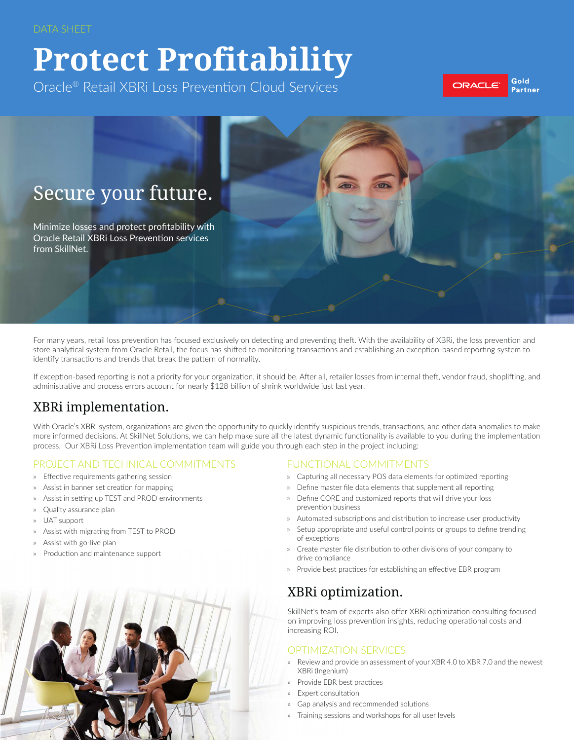# **Protect Profitability**

Oracle® Retail XBRi Loss Prevention Cloud Services







For many years, retail loss prevention has focused exclusively on detecting and preventing theft. With the availability of XBRi, the loss prevention and store analytical system from Oracle Retail, the focus has shifted to monitoring transactions and establishing an exception-based reporting system to identify transactions and trends that break the pattern of normality.

If exception-based reporting is not a priority for your organization, it should be. After all, retailer losses from internal theft, vendor fraud, shoplifting, and administrative and process errors account for nearly \$128 billion of shrink worldwide just last year.

## XBRi implementation.

With Oracle's XBRi system, organizations are given the opportunity to quickly identify suspicious trends, transactions, and other data anomalies to make more informed decisions. At SkillNet Solutions, we can help make sure all the latest dynamic functionality is available to you during the implementation process. Our XBRi Loss Prevention implementation team will guide you through each step in the project including:

#### PROJECT AND TECHNICAL COMMITMENTS

- » Effective requirements gathering session
- » Assist in banner set creation for mapping
- Assist in setting up TEST and PROD environments
- » Quality assurance plan
- » UAT support
- » Assist with migrating from TEST to PROD
- » Assist with go-live plan
- » Production and maintenance support

#### FUNCTIONAL COMMITMENTS

- » Capturing all necessary POS data elements for optimized reporting
- » Define master file data elements that supplement all reporting
- » Define CORE and customized reports that will drive your loss prevention business
- » Automated subscriptions and distribution to increase user productivity
- Setup appropriate and useful control points or groups to define trending of exceptions
- » Create master file distribution to other divisions of your company to drive compliance
- » Provide best practices for establishing an effective EBR program

## XBRi optimization.

SkillNet's team of experts also offer XBRi optimization consulting focused on improving loss prevention insights, reducing operational costs and increasing ROI.

#### OPTIMIZATION SERVICES

- Review and provide an assessment of your XBR 4.0 to XBR 7.0 and the newest XBRi (Ingenium)
- » Provide EBR best practices
- » Expert consultation
- » Gap analysis and recommended solutions
- » Training sessions and workshops for all user levels